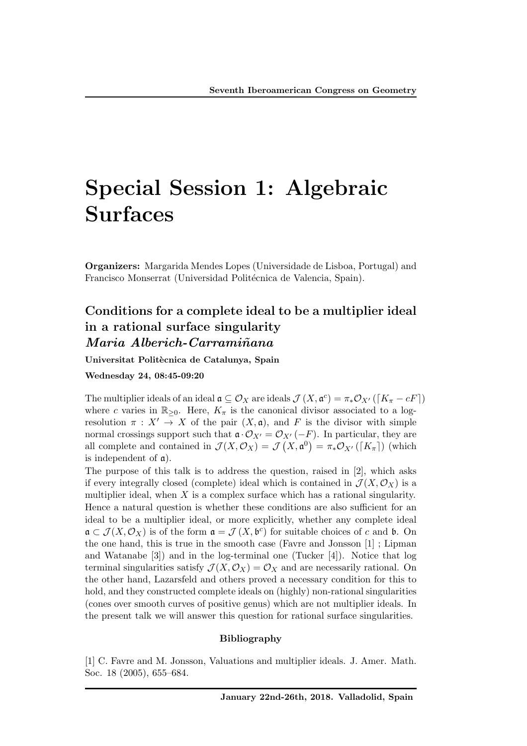# Special Session 1: Algebraic Surfaces

Organizers: Margarida Mendes Lopes (Universidade de Lisboa, Portugal) and Francisco Monserrat (Universidad Politécnica de Valencia, Spain).

### Conditions for a complete ideal to be a multiplier ideal in a rational surface singularity *Maria Alberich-Carrami˜nana*

Universitat Politècnica de Catalunya, Spain

Wednesday 24, 08:45-09:20

The multiplier ideals of an ideal  $\mathfrak{a} \subseteq \mathcal{O}_X$  are ideals  $\mathcal{J}(X, \mathfrak{a}^c) = \pi_* \mathcal{O}_{X'}([K_{\pi}-cF])$ where *c* varies in  $\mathbb{R}_{\geq 0}$ . Here,  $K_{\pi}$  is the canonical divisor associated to a logresolution  $\pi : X' \to X$  of the pair  $(X, \mathfrak{a})$ , and F is the divisor with simple normal crossings support such that  $\mathfrak{a} \cdot \mathcal{O}_{X'} = \mathcal{O}_{X'}(-F)$ . In particular, they are all complete and contained in  $\mathcal{J}(X, \mathcal{O}_X) = \mathcal{J}(X, \mathfrak{a}^0) = \pi_* \mathcal{O}_{X'}(\lceil K_{\pi} \rceil)$  (which is independent of  $\alpha$ ).

The purpose of this talk is to address the question, raised in [2], which asks if every integrally closed (complete) ideal which is contained in  $\mathcal{J}(X,\mathcal{O}_X)$  is a multiplier ideal, when *X* is a complex surface which has a rational singularity. Hence a natural question is whether these conditions are also sufficient for an ideal to be a multiplier ideal, or more explicitly, whether any complete ideal  $\mathfrak{a} \subset \mathcal{J}(X, \mathcal{O}_X)$  is of the form  $\mathfrak{a} = \mathcal{J}(X, \mathfrak{b}^c)$  for suitable choices of *c* and **b**. On the one hand, this is true in the smooth case (Favre and Jonsson [1] ; Lipman and Watanabe [3]) and in the log-terminal one (Tucker [4]). Notice that log terminal singularities satisfy  $\mathcal{J}(X, \mathcal{O}_X) = \mathcal{O}_X$  and are necessarily rational. On the other hand, Lazarsfeld and others proved a necessary condition for this to hold, and they constructed complete ideals on (highly) non-rational singularities (cones over smooth curves of positive genus) which are not multiplier ideals. In the present talk we will answer this question for rational surface singularities.

#### Bibliography

[1] C. Favre and M. Jonsson, Valuations and multiplier ideals. J. Amer. Math. Soc. 18 (2005), 655–684.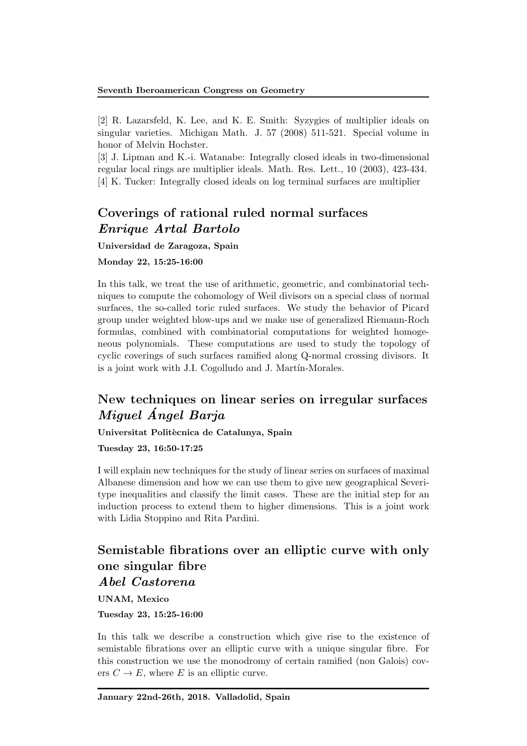[2] R. Lazarsfeld, K. Lee, and K. E. Smith: Syzygies of multiplier ideals on singular varieties. Michigan Math. J. 57 (2008) 511-521. Special volume in honor of Melvin Hochster.

[3] J. Lipman and K.-i. Watanabe: Integrally closed ideals in two-dimensional regular local rings are multiplier ideals. Math. Res. Lett., 10 (2003), 423-434. [4] K. Tucker: Integrally closed ideals on log terminal surfaces are multiplier

# Coverings of rational ruled normal surfaces *Enrique Artal Bartolo*

Universidad de Zaragoza, Spain

### Monday 22, 15:25-16:00

In this talk, we treat the use of arithmetic, geometric, and combinatorial techniques to compute the cohomology of Weil divisors on a special class of normal surfaces, the so-called toric ruled surfaces. We study the behavior of Picard group under weighted blow-ups and we make use of generalized Riemann-Roch formulas, combined with combinatorial computations for weighted homogeneous polynomials. These computations are used to study the topology of cyclic coverings of such surfaces ramified along Q-normal crossing divisors. It is a joint work with J.I. Cogolludo and J. Martín-Morales.

# New techniques on linear series on irregular surfaces *Miguel Angel Barja ´*

Universitat Politècnica de Catalunya, Spain

Tuesday 23, 16:50-17:25

I will explain new techniques for the study of linear series on surfaces of maximal Albanese dimension and how we can use them to give new geographical Severitype inequalities and classify the limit cases. These are the initial step for an induction process to extend them to higher dimensions. This is a joint work with Lidia Stoppino and Rita Pardini.

# Semistable fibrations over an elliptic curve with only one singular fibre

### *Abel Castorena*

UNAM, Mexico

Tuesday 23, 15:25-16:00

In this talk we describe a construction which give rise to the existence of semistable fibrations over an elliptic curve with a unique singular fibre. For this construction we use the monodromy of certain ramified (non Galois) covers  $C \to E$ , where *E* is an elliptic curve.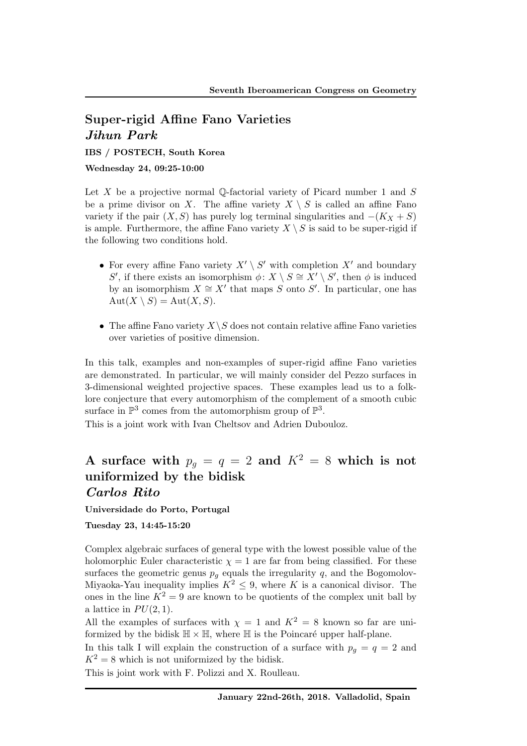# Super-rigid Affine Fano Varieties *Jihun Park*

IBS / POSTECH, South Korea

Wednesday 24, 09:25-10:00

Let *X* be a projective normal Q-factorial variety of Picard number 1 and *S* be a prime divisor on *X*. The affine variety  $X \setminus S$  is called an affine Fano variety if the pair  $(X, S)$  has purely log terminal singularities and  $-(K_X + S)$ is ample. Furthermore, the affine Fano variety  $X \setminus S$  is said to be super-rigid if the following two conditions hold.

- For every affine Fano variety  $X' \setminus S'$  with completion  $X'$  and boundary *S*<sup> $\prime$ </sup>, if there exists an isomorphism  $\phi: X \setminus S \cong X' \setminus S'$ , then  $\phi$  is induced by an isomorphism  $X \cong X'$  that maps *S* onto *S'*. In particular, one has  $Aut(X \setminus S) = Aut(X, S).$
- The affine Fano variety  $X \setminus S$  does not contain relative affine Fano varieties over varieties of positive dimension.

In this talk, examples and non-examples of super-rigid affine Fano varieties are demonstrated. In particular, we will mainly consider del Pezzo surfaces in 3-dimensional weighted projective spaces. These examples lead us to a folklore conjecture that every automorphism of the complement of a smooth cubic surface in  $\mathbb{P}^3$  comes from the automorphism group of  $\mathbb{P}^3$ .

This is a joint work with Ivan Cheltsov and Adrien Dubouloz.

# A surface with  $p_q = q = 2$  and  $K^2 = 8$  which is not uniformized by the bidisk *Carlos Rito*

Universidade do Porto, Portugal

Tuesday 23, 14:45-15:20

Complex algebraic surfaces of general type with the lowest possible value of the holomorphic Euler characteristic  $\chi = 1$  are far from being classified. For these surfaces the geometric genus  $p_g$  equals the irregularity  $q$ , and the Bogomolov-Miyaoka-Yau inequality implies  $K^2 \leq 9$ , where *K* is a canonical divisor. The ones in the line  $K^2 = 9$  are known to be quotients of the complex unit ball by a lattice in  $PU(2, 1)$ .

All the examples of surfaces with  $\chi = 1$  and  $K^2 = 8$  known so far are uniformized by the bidisk  $\mathbb{H} \times \mathbb{H}$ , where  $\mathbb{H}$  is the Poincaré upper half-plane.

In this talk I will explain the construction of a surface with  $p_g = q = 2$  and  $K^2 = 8$  which is not uniformized by the bidisk.

This is joint work with F. Polizzi and X. Roulleau.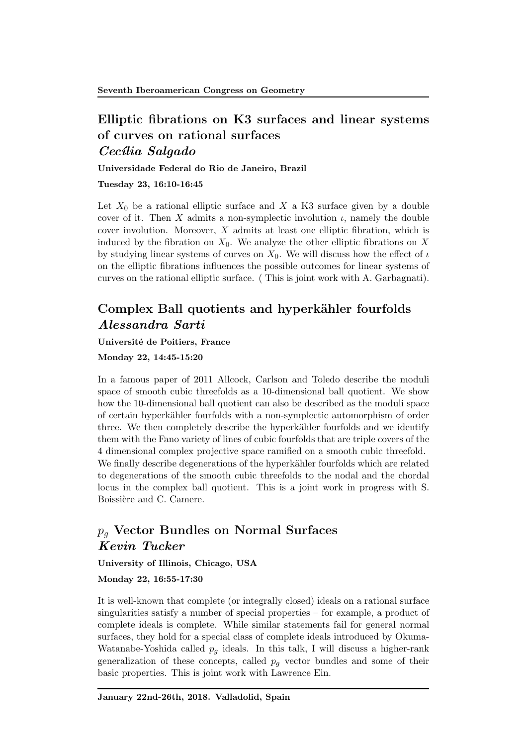## Elliptic fibrations on K3 surfaces and linear systems of curves on rational surfaces *Cec´ılia Salgado*

Universidade Federal do Rio de Janeiro, Brazil

Tuesday 23, 16:10-16:45

Let  $X_0$  be a rational elliptic surface and  $X$  a K3 surface given by a double cover of it. Then *X* admits a non-symplectic involution  $\iota$ , namely the double cover involution. Moreover, *X* admits at least one elliptic fibration, which is induced by the fibration on  $X_0$ . We analyze the other elliptic fibrations on  $X$ by studying linear systems of curves on  $X_0$ . We will discuss how the effect of  $\iota$ on the elliptic fibrations influences the possible outcomes for linear systems of curves on the rational elliptic surface. ( This is joint work with A. Garbagnati).

# Complex Ball quotients and hyperkähler fourfolds *Alessandra Sarti*

#### Université de Poitiers, France

Monday 22, 14:45-15:20

In a famous paper of 2011 Allcock, Carlson and Toledo describe the moduli space of smooth cubic threefolds as a 10-dimensional ball quotient. We show how the 10-dimensional ball quotient can also be described as the moduli space of certain hyperk¨ahler fourfolds with a non-symplectic automorphism of order three. We then completely describe the hyperkähler fourfolds and we identify them with the Fano variety of lines of cubic fourfolds that are triple covers of the 4 dimensional complex projective space ramified on a smooth cubic threefold. We finally describe degenerations of the hyperkähler fourfolds which are related to degenerations of the smooth cubic threefolds to the nodal and the chordal locus in the complex ball quotient. This is a joint work in progress with S. Boissière and C. Camere.

# *p<sup>g</sup>* Vector Bundles on Normal Surfaces *Kevin Tucker*

University of Illinois, Chicago, USA

Monday 22, 16:55-17:30

It is well-known that complete (or integrally closed) ideals on a rational surface singularities satisfy a number of special properties – for example, a product of complete ideals is complete. While similar statements fail for general normal surfaces, they hold for a special class of complete ideals introduced by Okuma-Watanabe-Yoshida called  $p_q$  ideals. In this talk, I will discuss a higher-rank generalization of these concepts, called *p<sup>g</sup>* vector bundles and some of their basic properties. This is joint work with Lawrence Ein.